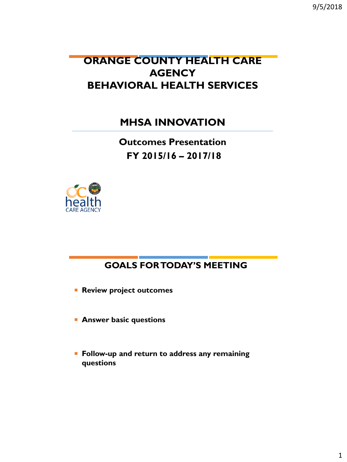9/5/2018

## **ORANGE COUNTY HEALTH CARE AGENCY BEHAVIORAL HEALTH SERVICES**

**MHSA INNOVATION**

**Outcomes Presentation FY 2015/16 – 2017/18**



#### **GOALS FOR TODAY'S MEETING**

**Review project outcomes** 

- **Answer basic questions**
- **Follow-up and return to address any remaining questions**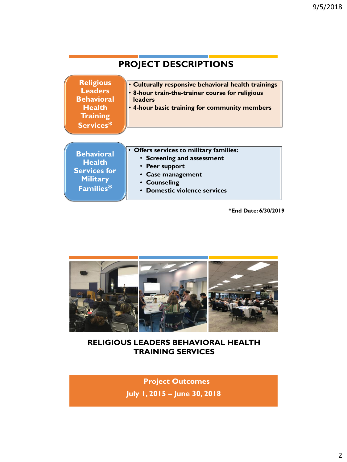| <b>PROJECT DESCRIPTIONS</b>                                                                              |                                                                                                                                                                      |  |  |
|----------------------------------------------------------------------------------------------------------|----------------------------------------------------------------------------------------------------------------------------------------------------------------------|--|--|
| <b>Religious</b><br><b>Leaders</b><br><b>Behavioral</b><br><b>Health</b><br><b>Training</b><br>Services* | . Culturally responsive behavioral health trainings<br>. 8-hour train-the-trainer course for religious<br>leaders<br>. 4-hour basic training for community members   |  |  |
| <b>Behavioral</b><br><b>Health</b><br><b>Services for</b><br><b>Military</b><br>Families*                | Offers services to military families:<br>• Screening and assessment<br>• Peer support<br><b>Case management</b><br><b>Counseling</b><br>• Domestic violence services |  |  |

**\*End Date: 6/30/2019**



**RELIGIOUS LEADERS BEHAVIORAL HEALTH TRAINING SERVICES**

> **July 1, 2015 – June 30, 2018 Project Outcomes**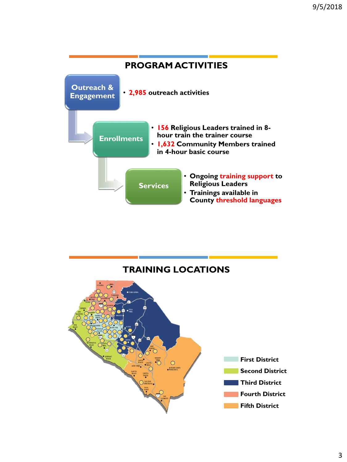

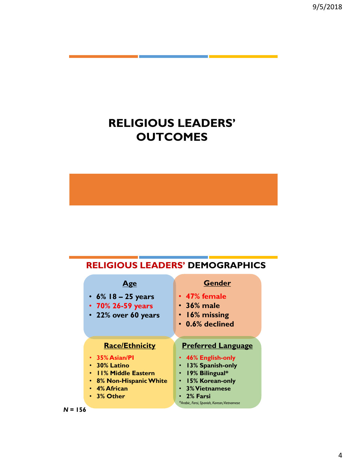## **RELIGIOUS LEADERS' OUTCOMES**

#### **RELIGIOUS LEADERS' DEMOGRAPHICS**

| Age<br>• $6\%$ 18 – 25 years<br>• 70% 26-59 years<br>• 22% over 60 years | <b>Gender</b><br>• 47% female<br>$\cdot$ 36% male<br>$\cdot$ 16% missing<br>$\cdot$ 0.6% declined |
|--------------------------------------------------------------------------|---------------------------------------------------------------------------------------------------|
|                                                                          |                                                                                                   |
| <b>Race/Ethnicity</b>                                                    | <b>Preferred Language</b>                                                                         |
| $\cdot$ 35% Asian/PI                                                     | • 46% English-only                                                                                |
| $\cdot$ 30% Latino                                                       | 13% Spanish-only                                                                                  |
| • II% Middle Eastern                                                     | · 19% Bilingual*                                                                                  |
| • 8% Non-Hispanic White                                                  | • 15% Korean-only                                                                                 |
| • 4% African                                                             | • 3% Vietnamese                                                                                   |
| • 3% Other                                                               | 2% Farsi                                                                                          |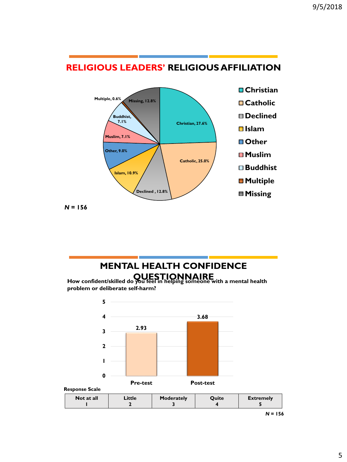

#### **RELIGIOUS LEADERS' RELIGIOUS AFFILIATION**

*N* **= 156**

# **MENTAL HEALTH CONFIDENCE**

**QUESTIONNAIRE How confident/skilled do you feel in helping someone with a mental health problem or deliberate self-harm?**



*N* **= 156**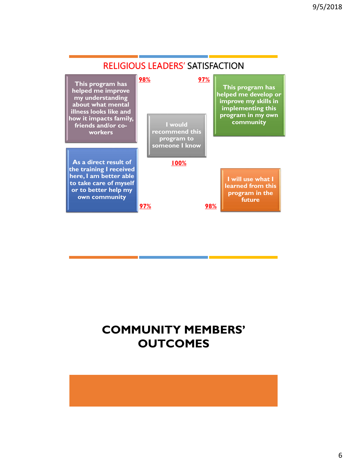

## **COMMUNITY MEMBERS' OUTCOMES**

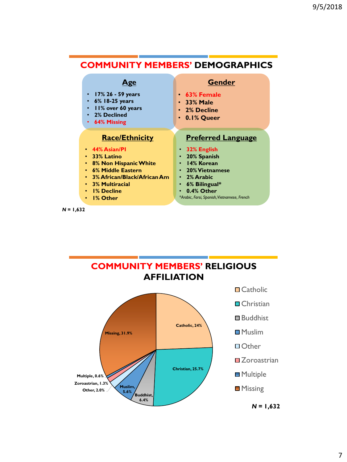#### **COMMUNITY MEMBERS' DEMOGRAPHICS**

| 4 ge                                                                                                                                                                          | <b>Gender</b>                                                                                                                |
|-------------------------------------------------------------------------------------------------------------------------------------------------------------------------------|------------------------------------------------------------------------------------------------------------------------------|
| $17\%$ 26 - 59 years<br>$6\%$ 18-25 years<br>II% over 60 years<br>2% Declined<br>64% Missing<br>$\bullet$                                                                     | $\cdot$ 63% Female<br>$\cdot$ 33% Male<br>• 2% Decline<br>$\cdot$ 0.1% Queer                                                 |
| <b>Race/Ethnicity</b>                                                                                                                                                         | <b>Preferred Language</b>                                                                                                    |
| $\cdot$ 44% Asian/PI<br>• 33% Latino<br>• 8% Non Hispanic White<br>• 6% Middle Eastern<br>• 3% African/Black/African Am<br>• 3% Multiracial<br><b>1% Decline</b><br>$\bullet$ | $\cdot$ 32% English<br>20% Spanish<br>14% Korean<br><b>20% Vietnamese</b><br>• 2% Arabic<br>6% Bilingual*<br>٠<br>0.4% Other |
| <b>1% Other</b><br>$\bullet$                                                                                                                                                  | *Arabic, Farsi, Spanish, Vietnamese, French                                                                                  |

*N* **= 1,632**

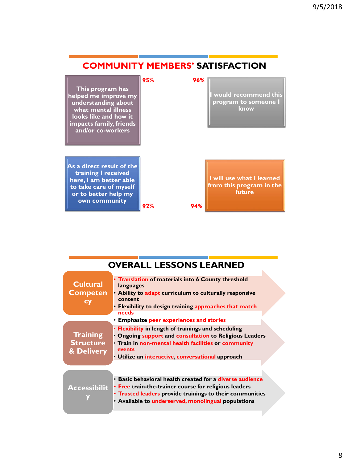



| <b>OVERALL LESSONS LEARNED</b>                                                                                                                                                                                                       |                                                                                                                                                                                  |  |  |
|--------------------------------------------------------------------------------------------------------------------------------------------------------------------------------------------------------------------------------------|----------------------------------------------------------------------------------------------------------------------------------------------------------------------------------|--|--|
| • Translation of materials into 6 County threshold<br>languages<br>content<br>Flexibility to design training approaches that match                                                                                                   |                                                                                                                                                                                  |  |  |
| • Emphasize peer experiences and stories                                                                                                                                                                                             |                                                                                                                                                                                  |  |  |
| Flexibility in length of trainings and scheduling<br>events<br>· Utilize an interactive, conversational approach                                                                                                                     |                                                                                                                                                                                  |  |  |
|                                                                                                                                                                                                                                      |                                                                                                                                                                                  |  |  |
| • Basic behavioral health created for a diverse audience<br>• Free train-the-trainer course for religious leaders<br>• Trusted leaders provide trainings to their communities<br>• Available to underserved, monolingual populations |                                                                                                                                                                                  |  |  |
|                                                                                                                                                                                                                                      | • Ability to adapt curriculum to culturally responsive<br>needs<br>Ongoing support and consultation to Religious Leaders<br>· Train in non-mental health facilities or community |  |  |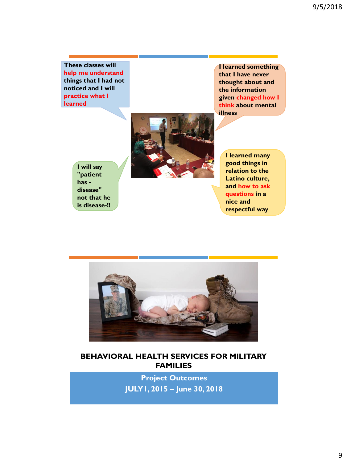**These classes will help me understand things that I had not noticed and I will practice what I learned**

**I learned something that I have never thought about and the information given changed how I think about mental illness**



**I will say "patient has disease" not that he is disease-!!** **I learned many good things in relation to the Latino culture, and how to ask questions in a nice and respectful way**



#### **BEHAVIORAL HEALTH SERVICES FOR MILITARY FAMILIES**

**Project Outcomes JULY1, 2015 – June 30, 2018**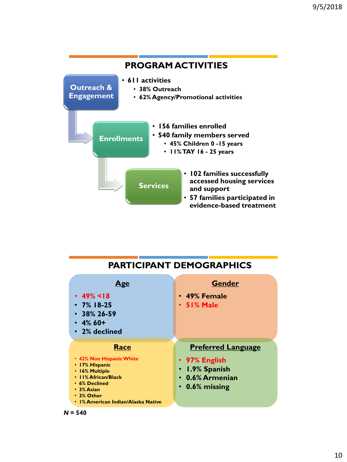

| <b>PARTICIPANT DEMOGRAPHICS</b>                                                                                                                                                |                                                                                                         |  |  |  |
|--------------------------------------------------------------------------------------------------------------------------------------------------------------------------------|---------------------------------------------------------------------------------------------------------|--|--|--|
| <u>Age</u><br>• 49% < $18$<br>$\cdot$ 7% 18-25<br>$\cdot$ 38% 26-59<br>$\cdot$ 4% 60+<br>$\cdot$ 2% declined                                                                   | <b>Gender</b><br>• 49% Female<br>• 51% Male                                                             |  |  |  |
| Race<br>• 42% Non Hispanic White<br>• 17% Hispanic<br>• 16% Multiple<br>• 11% African/Black<br>• 6% Declined<br>• 3% Asian<br>• 3% Other<br>• 1% American Indian/Alaska Native | <b>Preferred Language</b><br>• 97% English<br>· 1.9% Spanish<br>• 0.6% Armenian<br>$\cdot$ 0.6% missing |  |  |  |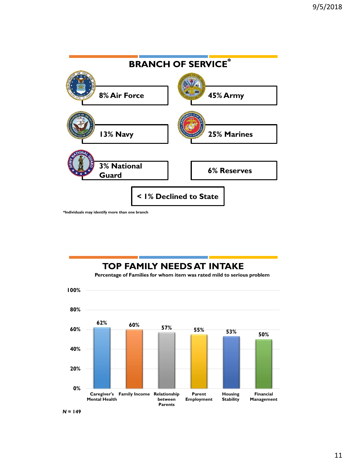

**\*Individuals may identify more than one branch**

### **TOP FAMILY NEEDS AT INTAKE**

**Percentage of Families for whom item was rated mild to serious problem**



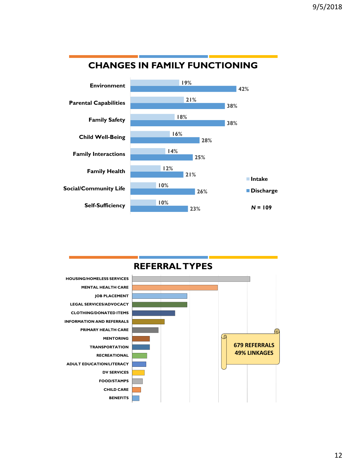

### **CHANGES IN FAMILY FUNCTIONING**

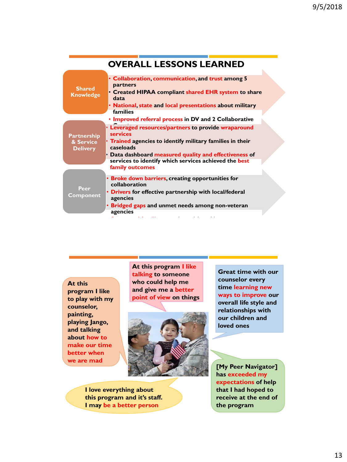|                                                    | <b>OVERALL LESSONS LEARNED</b>                                                                                                                                                                                                                                                      |  |
|----------------------------------------------------|-------------------------------------------------------------------------------------------------------------------------------------------------------------------------------------------------------------------------------------------------------------------------------------|--|
| <b>Shared</b><br><b>Knowledge</b>                  | <b>Collaboration, communication, and trust among 5</b><br>partners<br>• Created HIPAA compliant shared EHR system to share<br>data<br>National, state and local presentations about military<br><b>families</b>                                                                     |  |
|                                                    | • Improved referral process in DV and 2 Collaborative                                                                                                                                                                                                                               |  |
| <b>Partnership</b><br>& Service<br><b>Delivery</b> | Leveraged resources/partners to provide wraparound<br><b>services</b><br>• Trained agencies to identify military families in their<br>caseloads<br>Data dashboard measured quality and effectiveness of<br>services to identify which services achieved the best<br>family outcomes |  |
| Peer<br><b>Component</b>                           | • Broke down barriers, creating opportunities for<br>collaboration<br>• Drivers for effective partnership with local/federal<br>agencies<br>• Bridged gaps and unmet needs among non-veteran<br>agencies                                                                            |  |

**At this program I like to play with my counselor, painting, playing Jango, and talking about how to make our time better when we are mad**

**At this program I like talking to someone who could help me and give me a better point of view on things**



**I love everything about this program and it's staff. I may be a better person**

**Great time with our counselor every time learning new ways to improve our overall life style and relationships with our children and loved ones**

**[My Peer Navigator] has exceeded my expectations of help that I had hoped to receive at the end of the program**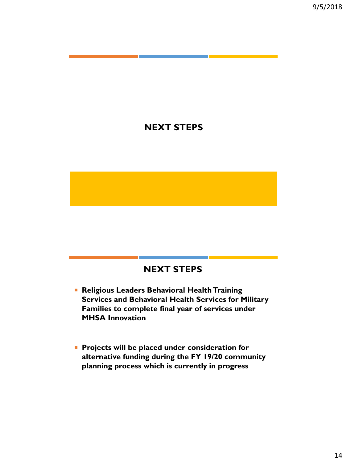#### **NEXT STEPS**

#### **NEXT STEPS**

- **Religious Leaders Behavioral Health Training Services and Behavioral Health Services for Military Families to complete final year of services under MHSA Innovation**
- **Projects will be placed under consideration for alternative funding during the FY 19/20 community planning process which is currently in progress**